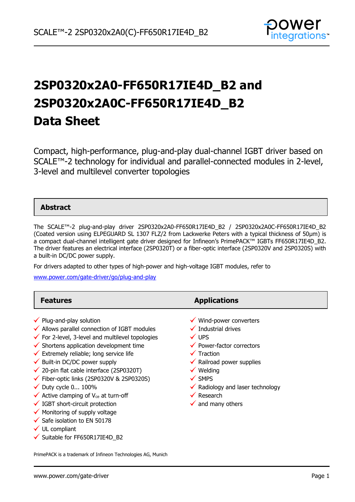

# **2SP0320x2A0-FF650R17IE4D\_B2 and 2SP0320x2A0C-FF650R17IE4D\_B2 Data Sheet**

Compact, high-performance, plug-and-play dual-channel IGBT driver based on SCALE™-2 technology for individual and parallel-connected modules in 2-level, 3-level and multilevel converter topologies

### **Abstract**

The SCALE™-2 plug-and-play driver 2SP0320x2A0-FF650R17IE4D\_B2 / 2SP0320x2A0C-FF650R17IE4D\_B2 (Coated version using ELPEGUARD SL 1307 FLZ/2 from Lackwerke Peters with a typical thickness of 50µm) is a compact dual-channel intelligent gate driver designed for Infineon's PrimePACK™ IGBTs FF650R17IE4D\_B2. The driver features an electrical interface (2SP0320T) or a fiber-optic interface (2SP0320V and 2SP0320S) with a built-in DC/DC power supply.

For drivers adapted to other types of high-power and high-voltage IGBT modules, refer to

[www.power.com/gate-driver/go/plug-and-play](http://www.power.com/gate-driver/go/plug-and-play)

| <b>Features</b>                                                                                                                                                                                                                                                                                                                                                                                                                                                                                                                                                                                                                                                             | <b>Applications</b>                                                                                                                                                                                                                                                                                                                                    |
|-----------------------------------------------------------------------------------------------------------------------------------------------------------------------------------------------------------------------------------------------------------------------------------------------------------------------------------------------------------------------------------------------------------------------------------------------------------------------------------------------------------------------------------------------------------------------------------------------------------------------------------------------------------------------------|--------------------------------------------------------------------------------------------------------------------------------------------------------------------------------------------------------------------------------------------------------------------------------------------------------------------------------------------------------|
| $\checkmark$ Plug-and-play solution<br>$\checkmark$ Allows parallel connection of IGBT modules<br>$\checkmark$ For 2-level, 3-level and multilevel topologies<br>$\checkmark$ Shortens application development time<br>$\checkmark$ Extremely reliable; long service life<br>$\checkmark$ Built-in DC/DC power supply<br>$\checkmark$ 20-pin flat cable interface (2SP0320T)<br>$\checkmark$ Fiber-optic links (2SP0320V & 2SP0320S)<br>$\checkmark$ Duty cycle 0 100%<br>$\checkmark$ Active clamping of V <sub>ce</sub> at turn-off<br>$\checkmark$ IGBT short-circuit protection<br>$\checkmark$ Monitoring of supply voltage<br>$\checkmark$ Safe isolation to EN 50178 | $\checkmark$ Wind-power converters<br>$\checkmark$ Industrial drives<br>$\checkmark$ UPS<br>$\checkmark$ Power-factor correctors<br>$\checkmark$ Traction<br>$\checkmark$ Railroad power supplies<br>$\checkmark$ Welding<br>$\checkmark$ SMPS<br>$\checkmark$ Radiology and laser technology<br>$\checkmark$ Research<br>$\checkmark$ and many others |
| $\checkmark$ UL compliant                                                                                                                                                                                                                                                                                                                                                                                                                                                                                                                                                                                                                                                   |                                                                                                                                                                                                                                                                                                                                                        |

 $\checkmark$  Suitable for FF650R17IE4D B2

PrimePACK is a trademark of Infineon Technologies AG, Munich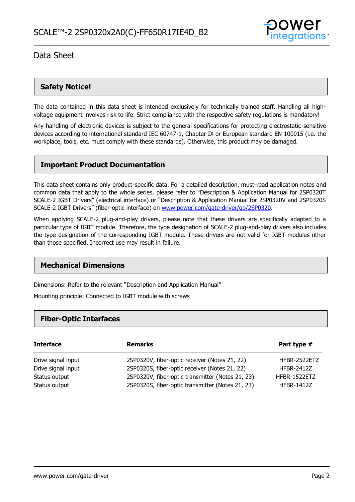

### **Safety Notice!**

The data contained in this data sheet is intended exclusively for technically trained staff. Handling all highvoltage equipment involves risk to life. Strict compliance with the respective safety regulations is mandatory!

Any handling of electronic devices is subject to the general specifications for protecting electrostatic-sensitive devices according to international standard IEC 60747-1, Chapter IX or European standard EN 100015 (i.e. the workplace, tools, etc. must comply with these standards). Otherwise, this product may be damaged.

### **Important Product Documentation**

This data sheet contains only product-specific data. For a detailed description, must-read application notes and common data that apply to the whole series, please refer to "Description & Application Manual for 2SP0320T SCALE-2 IGBT Drivers" (electrical interface) or "Description & Application Manual for 2SP0320V and 2SP0320S SCALE-2 IGBT Drivers" (fiber-optic interface) on [www.power.com/gate-driver/go/2SP0320.](http://www.power.com/gate-driver/go/2SP0320)

When applying SCALE-2 plug-and-play drivers, please note that these drivers are specifically adapted to a particular type of IGBT module. Therefore, the type designation of SCALE-2 plug-and-play drivers also includes the type designation of the corresponding IGBT module. These drivers are not valid for IGBT modules other than those specified. Incorrect use may result in failure.

### **Mechanical Dimensions**

Dimensions: Refer to the relevant "Description and Application Manual"

Mounting principle: Connected to IGBT module with screws

### **Fiber-Optic Interfaces**

| <b>Interface</b>                    | <b>Remarks</b>                                                                                    | Part type #                       |
|-------------------------------------|---------------------------------------------------------------------------------------------------|-----------------------------------|
| Drive signal input                  | 2SP0320V, fiber-optic receiver (Notes 21, 22)                                                     | HFBR-2522ETZ                      |
| Drive signal input<br>Status output | 2SP0320S, fiber-optic receiver (Notes 21, 22)<br>2SP0320V, fiber-optic transmitter (Notes 21, 23) | <b>HFBR-2412Z</b><br>HFBR-1522ETZ |
| Status output                       | 2SP0320S, fiber-optic transmitter (Notes 21, 23)                                                  | <b>HFBR-1412Z</b>                 |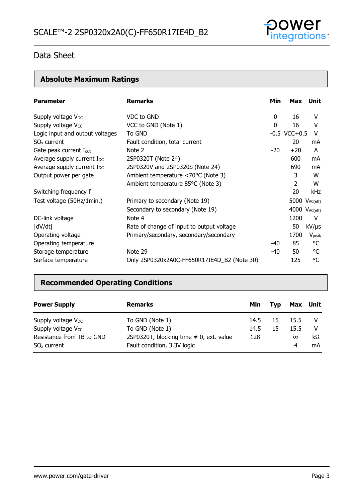

# **Absolute Maximum Ratings**

| <b>Parameter</b>                       | <b>Remarks</b>                              | Min | Max                  | Unit              |
|----------------------------------------|---------------------------------------------|-----|----------------------|-------------------|
| Supply voltage V <sub>DC</sub>         | VDC to GND                                  | 0   | 16                   | v                 |
| Supply voltage V <sub>cc</sub>         | VCC to GND (Note 1)                         | 0   | 16                   | v                 |
| Logic input and output voltages        | To GND                                      |     | $-0.5$ VCC $+0.5$    | V                 |
| $SOx$ current                          | Fault condition, total current              |     | 20                   | mA                |
| Gate peak current I <sub>out</sub>     | Note 2                                      | -20 | $+20$                | A                 |
| Average supply current I <sub>DC</sub> | 2SP0320T (Note 24)                          |     | 600                  | mA                |
| Average supply current I <sub>DC</sub> | 2SP0320V and 2SP0320S (Note 24)             |     | 690                  | mA                |
| Output power per gate                  | Ambient temperature <70°C (Note 3)          |     | 3                    | W                 |
|                                        | Ambient temperature 85°C (Note 3)           |     | 2                    | W                 |
| Switching frequency f                  |                                             |     | 20                   | <b>kHz</b>        |
| Test voltage (50Hz/1min.)              | Primary to secondary (Note 19)              |     | 5000 $V_{AC(eff)}$   |                   |
|                                        | Secondary to secondary (Note 19)            |     | $4000$ $V_{AC(eff)}$ |                   |
| DC-link voltage                        | Note 4                                      |     | 1200                 | V                 |
| dV/dt                                  | Rate of change of input to output voltage   |     | 50                   | $kV/\mu s$        |
| Operating voltage                      | Primary/secondary, secondary/secondary      |     | 1700                 | $V_{\text{peak}}$ |
| Operating temperature                  |                                             | -40 | 85                   | °C                |
| Storage temperature                    | Note 29                                     | -40 | 50                   | °C                |
| Surface temperature                    | Only 2SP0320x2A0C-FF650R17IE4D_B2 (Note 30) |     | 125                  | °C                |

## **Recommended Operating Conditions**

| <b>Power Supply</b>            | <b>Remarks</b>                               | Min  | <b>Tvp</b> | Max Unit |    |
|--------------------------------|----------------------------------------------|------|------------|----------|----|
| Supply voltage $V_{DC}$        | To GND (Note 1)                              | 14.5 | 15         | 15.5     |    |
| Supply voltage V <sub>cc</sub> | To GND (Note 1)                              | 14.5 | 15         | 15.5     | v  |
| Resistance from TB to GND      | 2SP0320T, blocking time $\neq$ 0, ext. value | 128  |            | $\infty$ | kΩ |
| $SOx$ current                  | Fault condition, 3.3V logic                  |      |            | 4        | mA |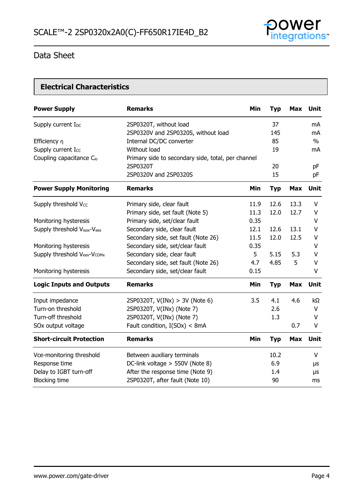

# **Electrical Characteristics**

| <b>Power Supply</b>                  | <b>Remarks</b>                                     | <b>Min</b> | <b>Typ</b> | <b>Max</b> | Unit          |
|--------------------------------------|----------------------------------------------------|------------|------------|------------|---------------|
| Supply current I <sub>DC</sub>       | 2SP0320T, without load                             |            | 37         |            | mA            |
|                                      | 2SP0320V and 2SP0320S, without load                |            | 145        |            | mA            |
| Efficiency n                         | Internal DC/DC converter                           |            | 85         |            | $\frac{0}{0}$ |
| Supply current Icc                   | Without load                                       |            | 19         |            | mA            |
| Coupling capacitance C <sub>io</sub> | Primary side to secondary side, total, per channel |            |            |            |               |
|                                      | 2SP0320T                                           |            | 20         |            | pF            |
|                                      | 2SP0320V and 2SP0320S                              |            | 15         |            | pF            |
| <b>Power Supply Monitoring</b>       | <b>Remarks</b>                                     | Min        | <b>Typ</b> | <b>Max</b> | <b>Unit</b>   |
| Supply threshold Vcc                 | Primary side, clear fault                          | 11.9       | 12.6       | 13.3       | $\vee$        |
|                                      | Primary side, set fault (Note 5)                   | 11.3       | 12.0       | 12.7       | $\vee$        |
| Monitoring hysteresis                | Primary side, set/clear fault                      | 0.35       |            |            | $\vee$        |
| Supply threshold Visox-Veex          | Secondary side, clear fault                        | 12.1       | 12.6       | 13.1       | V             |
|                                      | Secondary side, set fault (Note 26)                | 11.5       | 12.0       | 12.5       | V             |
| Monitoring hysteresis                | Secondary side, set/clear fault                    | 0.35       |            |            | V             |
| Supply threshold Veex-Vcomx          | Secondary side, clear fault                        | 5          | 5.15       | 5.3        | V             |
|                                      | Secondary side, set fault (Note 26)                | 4.7        | 4.85       | 5          | $\vee$        |
| Monitoring hysteresis                | Secondary side, set/clear fault                    | 0.15       |            |            | V             |
| <b>Logic Inputs and Outputs</b>      | <b>Remarks</b>                                     | Min        | <b>Typ</b> | <b>Max</b> | <b>Unit</b>   |
| Input impedance                      | 2SP0320T, $V(INx) > 3V$ (Note 6)                   | 3.5        | 4.1        | 4.6        | kΩ            |
| Turn-on threshold                    | 2SP0320T, V(INx) (Note 7)                          |            | 2.6        |            | V             |
| Turn-off threshold                   | 2SP0320T, V(INx) (Note 7)                          |            | 1.3        |            | V             |
| SOx output voltage                   | Fault condition, I(SOx) < 8mA                      |            |            | 0.7        | V             |
| <b>Short-circuit Protection</b>      | <b>Remarks</b>                                     | Min        | <b>Typ</b> | <b>Max</b> | Unit          |
| Vce-monitoring threshold             | Between auxiliary terminals                        |            | 10.2       |            | V             |
| Response time                        | DC-link voltage > 550V (Note 8)                    |            | 6.9        |            | μs            |
| Delay to IGBT turn-off               | After the response time (Note 9)                   |            | 1.4        |            | μs            |
| <b>Blocking time</b>                 | 2SP0320T, after fault (Note 10)                    |            | 90         |            | ms            |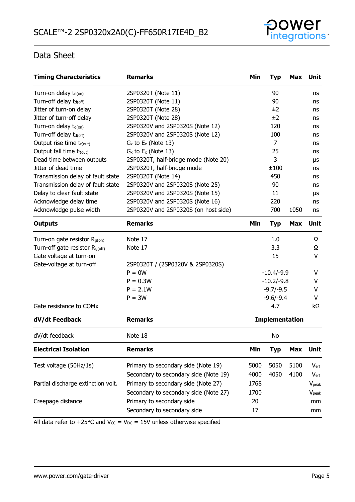

| <b>Timing Characteristics</b>              | <b>Remarks</b>                        | Min  | <b>Typ</b>            | <b>Max</b> | <b>Unit</b>       |
|--------------------------------------------|---------------------------------------|------|-----------------------|------------|-------------------|
| Turn-on delay $t_{d(0n)}$                  | 2SP0320T (Note 11)                    |      | 90                    |            | ns                |
| Turn-off delay t <sub>d(off)</sub>         | 2SP0320T (Note 11)                    |      | 90                    |            | ns                |
| Jitter of turn-on delay                    | 2SP0320T (Note 28)                    |      | ±2                    |            | ns                |
| Jitter of turn-off delay                   | 2SP0320T (Note 28)                    |      | ±2                    |            | ns                |
| Turn-on delay t <sub>d(on)</sub>           | 2SP0320V and 2SP0320S (Note 12)       |      | 120                   |            | ns                |
| Turn-off delay t <sub>d(off)</sub>         | 2SP0320V and 2SP0320S (Note 12)       |      | 100                   |            | ns                |
| Output rise time tr(out)                   | $G_x$ to $E_x$ (Note 13)              |      | $\overline{7}$        |            | ns                |
| Output fall time tf(out)                   | $G_x$ to $E_x$ (Note 13)              |      | 25                    |            | ns                |
| Dead time between outputs                  | 2SP0320T, half-bridge mode (Note 20)  |      | 3                     |            | μs                |
| Jitter of dead time                        | 2SP0320T, half-bridge mode            |      | ±100                  |            | ns                |
| Transmission delay of fault state          | 2SP0320T (Note 14)                    |      | 450                   |            | ns                |
| Transmission delay of fault state          | 2SP0320V and 2SP0320S (Note 25)       |      | 90                    |            | ns                |
| Delay to clear fault state                 | 2SP0320V and 2SP0320S (Note 15)       |      | 11                    |            | μs                |
| Acknowledge delay time                     | 2SP0320V and 2SP0320S (Note 16)       |      | 220                   |            | ns                |
| Acknowledge pulse width                    | 2SP0320V and 2SP0320S (on host side)  |      | 700                   | 1050       | ns                |
| <b>Outputs</b>                             | <b>Remarks</b>                        | Min  | <b>Typ</b>            | <b>Max</b> | <b>Unit</b>       |
| Turn-on gate resistor $R_{g(0n)}$          | Note 17                               |      | 1.0                   |            | Ω                 |
| Turn-off gate resistor R <sub>g(off)</sub> | Note 17                               |      | 3.3                   |            | Ω                 |
| Gate voltage at turn-on                    |                                       |      | 15                    |            | V                 |
| Gate-voltage at turn-off                   | 2SP0320T / (2SP0320V & 2SP0320S)      |      |                       |            |                   |
|                                            | $P = 0W$                              |      | $-10.4/-9.9$          |            | V                 |
|                                            | $P = 0.3W$                            |      | $-10.2/-9.8$          |            | V                 |
|                                            | $P = 2.1W$                            |      | $-9.7/-9.5$           |            | v                 |
|                                            | $P = 3W$                              |      | $-9.6/-9.4$           |            | V                 |
| Gate resistance to COMx                    |                                       |      | 4.7                   |            | kΩ                |
| dV/dt Feedback                             | <b>Remarks</b>                        |      | <b>Implementation</b> |            |                   |
| dV/dt feedback                             | Note 18                               |      | No                    |            |                   |
| <b>Electrical Isolation</b>                | <b>Remarks</b>                        | Min  | <b>Typ</b>            | <b>Max</b> | Unit              |
| Test voltage (50Hz/1s)                     | Primary to secondary side (Note 19)   | 5000 | 5050                  | 5100       | $V_{\text{eff}}$  |
|                                            | Secondary to secondary side (Note 19) | 4000 | 4050                  | 4100       | $V_{\rm eff}$     |
| Partial discharge extinction volt.         | Primary to secondary side (Note 27)   | 1768 |                       |            | $V_{\text{peak}}$ |
|                                            | Secondary to secondary side (Note 27) | 1700 |                       |            | V <sub>peak</sub> |
| Creepage distance                          | Primary to secondary side             | 20   |                       |            | mm                |
|                                            | Secondary to secondary side           | 17   |                       |            | mm                |
|                                            |                                       |      |                       |            |                   |

All data refer to +25°C and  $V_{CC} = V_{DC} = 15V$  unless otherwise specified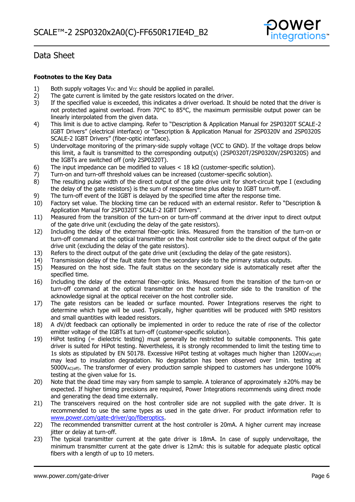

### **Footnotes to the Key Data**

- 1) Both supply voltages V<sub>DC</sub> and V<sub>CC</sub> should be applied in parallel.<br>2) The gate current is limited by the gate resistors located on the
- 2) The gate current is limited by the gate resistors located on the driver.<br>3) If the specified value is exceeded, this indicates a driver overload. It s
- If the specified value is exceeded, this indicates a driver overload. It should be noted that the driver is not protected against overload. From 70°C to 85°C, the maximum permissible output power can be linearly interpolated from the given data.
- 4) This limit is due to active clamping. Refer to "Description & Application Manual for 2SP0320T SCALE-2 IGBT Drivers" (electrical interface) or "Description & Application Manual for 2SP0320V and 2SP0320S SCALE-2 IGBT Drivers" (fiber-optic interface).
- 5) Undervoltage monitoring of the primary-side supply voltage (VCC to GND). If the voltage drops below this limit, a fault is transmitted to the corresponding output(s) (2SP0320T/2SP0320V/2SP0320S) and the IGBTs are switched off (only 2SP0320T).
- 6) The input impedance can be modified to values  $<$  18 k $\Omega$  (customer-specific solution).
- 7) Turn-on and turn-off threshold values can be increased (customer-specific solution).<br>8) The resulting pulse width of the direct output of the gate drive unit for short-circuit
- The resulting pulse width of the direct output of the gate drive unit for short-circuit type I (excluding the delay of the gate resistors) is the sum of response time plus delay to IGBT turn-off.
- 9) The turn-off event of the IGBT is delayed by the specified time after the response time.
- 10) Factory set value. The blocking time can be reduced with an external resistor. Refer to "Description & Application Manual for 2SP0320T SCALE-2 IGBT Drivers".
- 11) Measured from the transition of the turn-on or turn-off command at the driver input to direct output of the gate drive unit (excluding the delay of the gate resistors).
- 12) Including the delay of the external fiber-optic links. Measured from the transition of the turn-on or turn-off command at the optical transmitter on the host controller side to the direct output of the gate drive unit (excluding the delay of the gate resistors).
- 13) Refers to the direct output of the gate drive unit (excluding the delay of the gate resistors).<br>14) Transmission delay of the fault state from the secondary side to the primary status outputs.
- Transmission delay of the fault state from the secondary side to the primary status outputs.
- 15) Measured on the host side. The fault status on the secondary side is automatically reset after the specified time.
- 16) Including the delay of the external fiber-optic links. Measured from the transition of the turn-on or turn-off command at the optical transmitter on the host controller side to the transition of the acknowledge signal at the optical receiver on the host controller side.
- 17) The gate resistors can be leaded or surface mounted. Power Integrations reserves the right to determine which type will be used. Typically, higher quantities will be produced with SMD resistors and small quantities with leaded resistors.
- 18) A dV/dt feedback can optionally be implemented in order to reduce the rate of rise of the collector emitter voltage of the IGBTs at turn-off (customer-specific solution).
- 19) HiPot testing (= dielectric testing) must generally be restricted to suitable components. This gate driver is suited for HiPot testing. Nevertheless, it is strongly recommended to limit the testing time to 1s slots as stipulated by EN 50178. Excessive HiPot testing at voltages much higher than  $1200V_{AC(eff)}$ may lead to insulation degradation. No degradation has been observed over 1min. testing at 5000VAC(eff). The transformer of every production sample shipped to customers has undergone 100% testing at the given value for 1s.
- 20) Note that the dead time may vary from sample to sample. A tolerance of approximately  $\pm$ 20% may be expected. If higher timing precisions are required, Power Integrations recommends using direct mode and generating the dead time externally.
- 21) The transceivers required on the host controller side are not supplied with the gate driver. It is recommended to use the same types as used in the gate driver. For product information refer to [www.power.com/gate-driver/go/fiberoptics.](http://www.power.com/gate-driver/go/fiberoptics)
- 22) The recommended transmitter current at the host controller is 20mA. A higher current may increase jitter or delay at turn-off.
- 23) The typical transmitter current at the gate driver is 18mA. In case of supply undervoltage, the minimum transmitter current at the gate driver is 12mA: this is suitable for adequate plastic optical fibers with a length of up to 10 meters.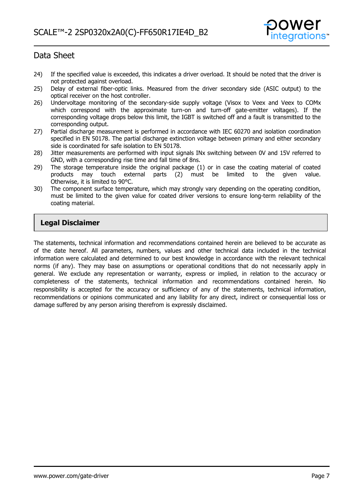

- 24) If the specified value is exceeded, this indicates a driver overload. It should be noted that the driver is not protected against overload.
- 25) Delay of external fiber-optic links. Measured from the driver secondary side (ASIC output) to the optical receiver on the host controller.
- 26) Undervoltage monitoring of the secondary-side supply voltage (Visox to Veex and Veex to COMx which correspond with the approximate turn-on and turn-off gate-emitter voltages). If the corresponding voltage drops below this limit, the IGBT is switched off and a fault is transmitted to the corresponding output.
- 27) Partial discharge measurement is performed in accordance with IEC 60270 and isolation coordination specified in EN 50178. The partial discharge extinction voltage between primary and either secondary side is coordinated for safe isolation to EN 50178.
- 28) Jitter measurements are performed with input signals INx switching between 0V and 15V referred to GND, with a corresponding rise time and fall time of 8ns.
- 29) The storage temperature inside the original package (1) or in case the coating material of coated products may touch external parts (2) must be limited to the given value. may touch external parts (2) must be limited to the given value. Otherwise, it is limited to 90°C.
- 30) The component surface temperature, which may strongly vary depending on the operating condition, must be limited to the given value for coated driver versions to ensure long-term reliability of the coating material.

### **Legal Disclaimer**

The statements, technical information and recommendations contained herein are believed to be accurate as of the date hereof. All parameters, numbers, values and other technical data included in the technical information were calculated and determined to our best knowledge in accordance with the relevant technical norms (if any). They may base on assumptions or operational conditions that do not necessarily apply in general. We exclude any representation or warranty, express or implied, in relation to the accuracy or completeness of the statements, technical information and recommendations contained herein. No responsibility is accepted for the accuracy or sufficiency of any of the statements, technical information, recommendations or opinions communicated and any liability for any direct, indirect or consequential loss or damage suffered by any person arising therefrom is expressly disclaimed.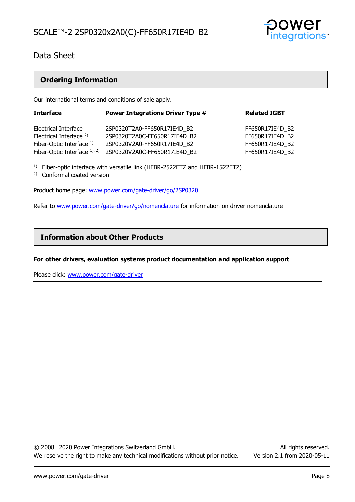

### **Ordering Information**

Our international terms and conditions of sale apply.

| <b>Interface</b>                   | <b>Power Integrations Driver Type #</b> | <b>Related IGBT</b> |
|------------------------------------|-----------------------------------------|---------------------|
| Electrical Interface               | 2SP0320T2A0-FF650R17IE4D B2             | FF650R17IE4D B2     |
| Electrical Interface <sup>2)</sup> | 2SP0320T2A0C-FF650R17IE4D B2            | FF650R17IE4D B2     |
| Fiber-Optic Interface 1)           | 2SP0320V2A0-FF650R17IE4D B2             | FF650R17IE4D B2     |
| Fiber-Optic Interface 1), 2)       | 2SP0320V2A0C-FF650R17IE4D B2            | FF650R17IE4D B2     |

<sup>1)</sup> Fiber-optic interface with versatile link (HFBR-2522ETZ and HFBR-1522ETZ)

2) Conformal coated version

Product home page: [www.power.com/gate-driver/go/2SP0320](http://www.power.com/gate-driver/go/2SP0320)

Refer to [www.power.com/gate-driver/go/nomenclature](http://www.power.com/gate-driver/go/nomenclature) for information on driver nomenclature

### **Information about Other Products**

### **For other drivers, evaluation systems product documentation and application support**

Please click: [www.power.com/gate-driver](http://www.power.com/gate-driver)

© 2008…2020 Power Integrations Switzerland GmbH. All rights reserved. We reserve the right to make any technical modifications without prior notice. Version 2.1 from 2020-05-11